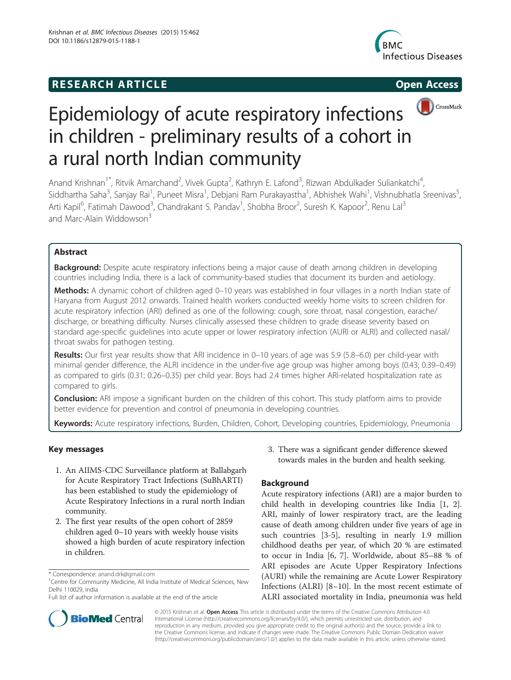## **RESEARCH ARTICLE Example 2014 CONSIDERING CONSIDERING CONSIDERING CONSIDERING CONSIDERING CONSIDERING CONSIDERING CONSIDERING CONSIDERING CONSIDERING CONSIDERING CONSIDERING CONSIDERING CONSIDERING CONSIDERING CONSIDE**





# Epidemiology of acute respiratory infections in children - preliminary results of a cohort in a rural north Indian community

Anand Krishnan<sup>1\*</sup>, Ritvik Amarchand<sup>2</sup>, Vivek Gupta<sup>2</sup>, Kathryn E. Lafond<sup>3</sup>, Rizwan Abdulkader Suliankatchi<sup>4</sup> , Siddhartha Saha<sup>3</sup>, Sanjay Rai<sup>1</sup>, Puneet Misra<sup>1</sup>, Debjani Ram Purakayastha<sup>1</sup>, Abhishek Wahi<sup>1</sup>, Vishnubhatla Sreenivas<sup>5</sup> , Arti Kapil<sup>6</sup>, Fatimah Dawood<sup>3</sup>, Chandrakant S. Pandav<sup>1</sup>, Shobha Broor<sup>2</sup>, Suresh K. Kapoor<sup>2</sup>, Renu Lal<sup>3</sup> and Marc-Alain Widdowson<sup>3</sup>

## Abstract

**Background:** Despite acute respiratory infections being a major cause of death among children in developing countries including India, there is a lack of community-based studies that document its burden and aetiology.

Methods: A dynamic cohort of children aged 0-10 years was established in four villages in a north Indian state of Haryana from August 2012 onwards. Trained health workers conducted weekly home visits to screen children for acute respiratory infection (ARI) defined as one of the following: cough, sore throat, nasal congestion, earache/ discharge, or breathing difficulty. Nurses clinically assessed these children to grade disease severity based on standard age-specific guidelines into acute upper or lower respiratory infection (AURI or ALRI) and collected nasal/ throat swabs for pathogen testing.

Results: Our first year results show that ARI incidence in 0–10 years of age was 5.9 (5.8–6.0) per child-year with minimal gender difference, the ALRI incidence in the under-five age group was higher among boys (0.43; 0.39–0.49) as compared to girls (0.31; 0.26–0.35) per child year. Boys had 2.4 times higher ARI-related hospitalization rate as compared to girls.

**Conclusion:** ARI impose a significant burden on the children of this cohort. This study platform aims to provide better evidence for prevention and control of pneumonia in developing countries.

Keywords: Acute respiratory infections, Burden, Children, Cohort, Developing countries, Epidemiology, Pneumonia

## Key messages

- 1. An AIIMS-CDC Surveillance platform at Ballabgarh for Acute Respiratory Tract Infections (SuBhARTI) has been established to study the epidemiology of Acute Respiratory Infections in a rural north Indian community.
- 2. The first year results of the open cohort of 2859 children aged 0–10 years with weekly house visits showed a high burden of acute respiratory infection in children.

3. There was a significant gender difference skewed towards males in the burden and health seeking.

## Background

Acute respiratory infections (ARI) are a major burden to child health in developing countries like India [[1, 2](#page-8-0)]. ARI, mainly of lower respiratory tract, are the leading cause of death among children under five years of age in such countries [[3-5](#page-8-0)], resulting in nearly 1.9 million childhood deaths per year, of which 20 % are estimated to occur in India [[6, 7](#page-8-0)]. Worldwide, about 85–88 % of ARI episodes are Acute Upper Respiratory Infections (AURI) while the remaining are Acute Lower Respiratory Infections (ALRI) [\[8](#page-8-0)–[10\]](#page-8-0). In the most recent estimate of ALRI associated mortality in India, pneumonia was held



© 2015 Krishnan et al. Open Access This article is distributed under the terms of the Creative Commons Attribution 4.0 International License [\(http://creativecommons.org/licenses/by/4.0/](http://creativecommons.org/licenses/by/4.0/)), which permits unrestricted use, distribution, and reproduction in any medium, provided you give appropriate credit to the original author(s) and the source, provide a link to the Creative Commons license, and indicate if changes were made. The Creative Commons Public Domain Dedication waiver [\(http://creativecommons.org/publicdomain/zero/1.0/](http://creativecommons.org/publicdomain/zero/1.0/)) applies to the data made available in this article, unless otherwise stated.

<sup>\*</sup> Correspondence: [anand.drk@gmail.com](mailto:anand.drk@gmail.com)

<sup>&</sup>lt;sup>1</sup> Centre for Community Medicine, All India Institute of Medical Sciences, New Delhi 110029, India

Full list of author information is available at the end of the article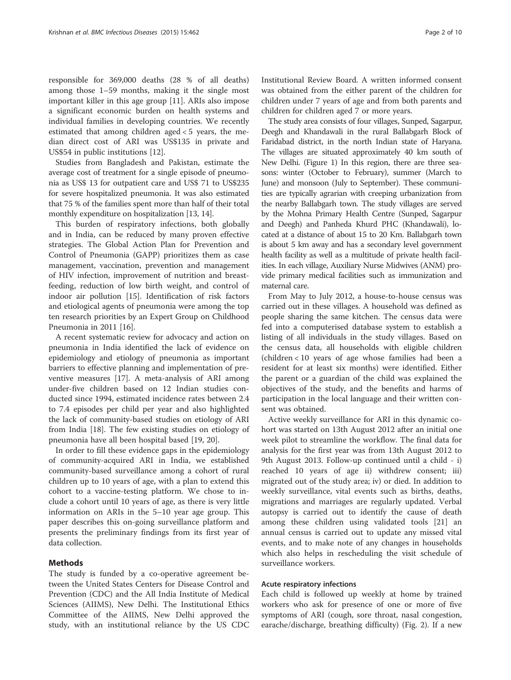responsible for 369,000 deaths (28 % of all deaths) among those 1–59 months, making it the single most important killer in this age group [[11\]](#page-8-0). ARIs also impose a significant economic burden on health systems and individual families in developing countries. We recently estimated that among children aged < 5 years, the median direct cost of ARI was US\$135 in private and US\$54 in public institutions [[12](#page-8-0)].

Studies from Bangladesh and Pakistan, estimate the average cost of treatment for a single episode of pneumonia as US\$ 13 for outpatient care and US\$ 71 to US\$235 for severe hospitalized pneumonia. It was also estimated that 75 % of the families spent more than half of their total monthly expenditure on hospitalization [\[13, 14](#page-8-0)].

This burden of respiratory infections, both globally and in India, can be reduced by many proven effective strategies. The Global Action Plan for Prevention and Control of Pneumonia (GAPP) prioritizes them as case management, vaccination, prevention and management of HIV infection, improvement of nutrition and breastfeeding, reduction of low birth weight, and control of indoor air pollution [\[15\]](#page-8-0). Identification of risk factors and etiological agents of pneumonia were among the top ten research priorities by an Expert Group on Childhood Pneumonia in 2011 [[16](#page-8-0)].

A recent systematic review for advocacy and action on pneumonia in India identified the lack of evidence on epidemiology and etiology of pneumonia as important barriers to effective planning and implementation of preventive measures [[17\]](#page-8-0). A meta-analysis of ARI among under-five children based on 12 Indian studies conducted since 1994, estimated incidence rates between 2.4 to 7.4 episodes per child per year and also highlighted the lack of community-based studies on etiology of ARI from India [\[18](#page-8-0)]. The few existing studies on etiology of pneumonia have all been hospital based [[19, 20\]](#page-8-0).

In order to fill these evidence gaps in the epidemiology of community-acquired ARI in India, we established community-based surveillance among a cohort of rural children up to 10 years of age, with a plan to extend this cohort to a vaccine-testing platform. We chose to include a cohort until 10 years of age, as there is very little information on ARIs in the 5–10 year age group. This paper describes this on-going surveillance platform and presents the preliminary findings from its first year of data collection.

#### Methods

The study is funded by a co-operative agreement between the United States Centers for Disease Control and Prevention (CDC) and the All India Institute of Medical Sciences (AIIMS), New Delhi. The Institutional Ethics Committee of the AIIMS, New Delhi approved the study, with an institutional reliance by the US CDC Institutional Review Board. A written informed consent was obtained from the either parent of the children for children under 7 years of age and from both parents and children for children aged 7 or more years.

The study area consists of four villages, Sunped, Sagarpur, Deegh and Khandawali in the rural Ballabgarh Block of Faridabad district, in the north Indian state of Haryana. The villages are situated approximately 40 km south of New Delhi. (Figure [1](#page-2-0)) In this region, there are three seasons: winter (October to February), summer (March to June) and monsoon (July to September). These communities are typically agrarian with creeping urbanization from the nearby Ballabgarh town. The study villages are served by the Mohna Primary Health Centre (Sunped, Sagarpur and Deegh) and Panheda Khurd PHC (Khandawali), located at a distance of about 15 to 20 Km. Ballabgarh town is about 5 km away and has a secondary level government health facility as well as a multitude of private health facilities. In each village, Auxiliary Nurse Midwives (ANM) provide primary medical facilities such as immunization and maternal care.

From May to July 2012, a house-to-house census was carried out in these villages. A household was defined as people sharing the same kitchen. The census data were fed into a computerised database system to establish a listing of all individuals in the study villages. Based on the census data, all households with eligible children (children < 10 years of age whose families had been a resident for at least six months) were identified. Either the parent or a guardian of the child was explained the objectives of the study, and the benefits and harms of participation in the local language and their written consent was obtained.

Active weekly surveillance for ARI in this dynamic cohort was started on 13th August 2012 after an initial one week pilot to streamline the workflow. The final data for analysis for the first year was from 13th August 2012 to 9th August 2013. Follow-up continued until a child - i) reached 10 years of age ii) withdrew consent; iii) migrated out of the study area; iv) or died. In addition to weekly surveillance, vital events such as births, deaths, migrations and marriages are regularly updated. Verbal autopsy is carried out to identify the cause of death among these children using validated tools [[21\]](#page-8-0) an annual census is carried out to update any missed vital events, and to make note of any changes in households which also helps in rescheduling the visit schedule of surveillance workers.

#### Acute respiratory infections

Each child is followed up weekly at home by trained workers who ask for presence of one or more of five symptoms of ARI (cough, sore throat, nasal congestion, earache/discharge, breathing difficulty) (Fig. [2](#page-3-0)). If a new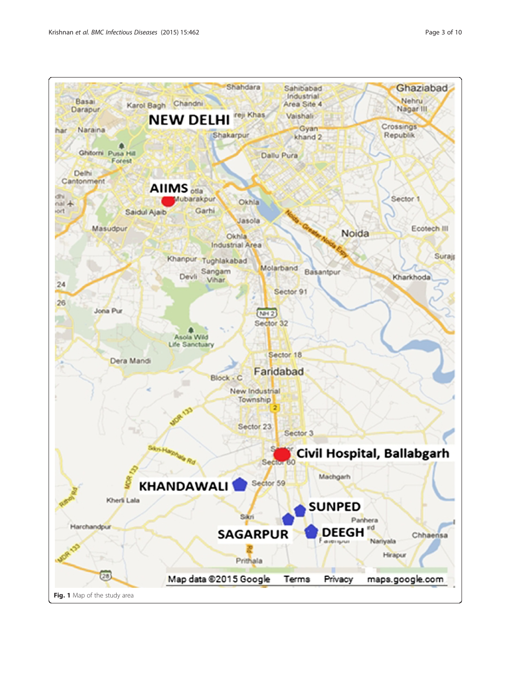<span id="page-2-0"></span>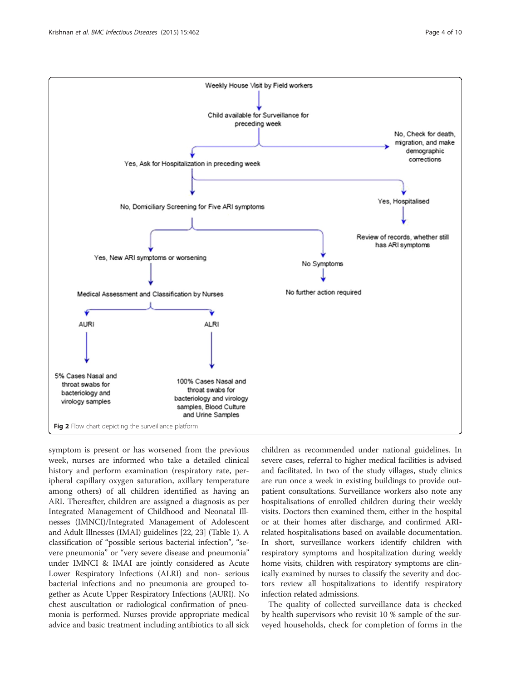<span id="page-3-0"></span>

symptom is present or has worsened from the previous week, nurses are informed who take a detailed clinical history and perform examination (respiratory rate, peripheral capillary oxygen saturation, axillary temperature among others) of all children identified as having an ARI. Thereafter, children are assigned a diagnosis as per Integrated Management of Childhood and Neonatal Illnesses (IMNCI)/Integrated Management of Adolescent and Adult Illnesses (IMAI) guidelines [\[22, 23](#page-8-0)] (Table [1\)](#page-4-0). A classification of "possible serious bacterial infection", "severe pneumonia" or "very severe disease and pneumonia" under IMNCI & IMAI are jointly considered as Acute Lower Respiratory Infections (ALRI) and non- serious bacterial infections and no pneumonia are grouped together as Acute Upper Respiratory Infections (AURI). No chest auscultation or radiological confirmation of pneumonia is performed. Nurses provide appropriate medical advice and basic treatment including antibiotics to all sick

children as recommended under national guidelines. In severe cases, referral to higher medical facilities is advised and facilitated. In two of the study villages, study clinics are run once a week in existing buildings to provide outpatient consultations. Surveillance workers also note any hospitalisations of enrolled children during their weekly visits. Doctors then examined them, either in the hospital or at their homes after discharge, and confirmed ARIrelated hospitalisations based on available documentation. In short, surveillance workers identify children with respiratory symptoms and hospitalization during weekly home visits, children with respiratory symptoms are clinically examined by nurses to classify the severity and doctors review all hospitalizations to identify respiratory infection related admissions.

The quality of collected surveillance data is checked by health supervisors who revisit 10 % sample of the surveyed households, check for completion of forms in the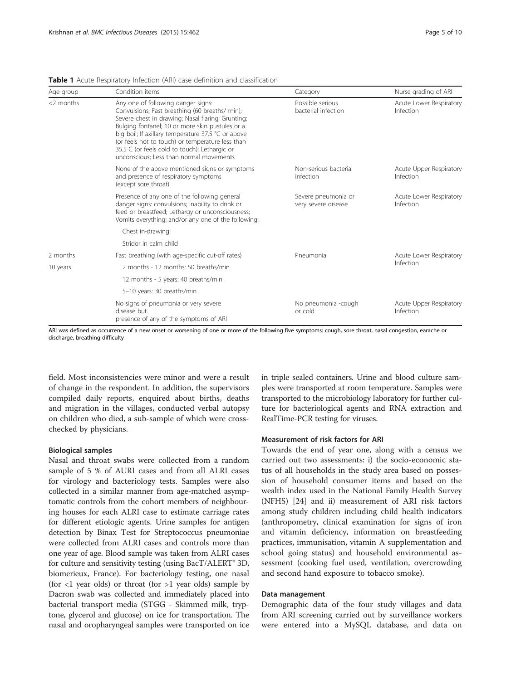| Age group    | Condition items                                                                                                                                                                                                                                                                                                                                                                                    | Category                                   | Nurse grading of ARI<br>Acute Lower Respiratory<br>Infection |  |  |
|--------------|----------------------------------------------------------------------------------------------------------------------------------------------------------------------------------------------------------------------------------------------------------------------------------------------------------------------------------------------------------------------------------------------------|--------------------------------------------|--------------------------------------------------------------|--|--|
| $<$ ? months | Any one of following danger signs:<br>Convulsions; Fast breathing (60 breaths/ min);<br>Severe chest in drawing; Nasal flaring; Grunting;<br>Bulging fontanel; 10 or more skin pustules or a<br>big boil; If axillary temperature 37.5 °C or above<br>(or feels hot to touch) or temperature less than<br>35.5 C (or feels cold to touch); Lethargic or<br>unconscious: Less than normal movements | Possible serious<br>bacterial infection    |                                                              |  |  |
|              | None of the above mentioned signs or symptoms<br>and presence of respiratory symptoms<br>(except sore throat)                                                                                                                                                                                                                                                                                      | Non-serious bacterial<br>infection         | Acute Upper Respiratory<br>Infection                         |  |  |
|              | Presence of any one of the following general<br>danger signs: convulsions; Inability to drink or<br>feed or breastfeed; Lethargy or unconsciousness;<br>Vomits everything; and/or any one of the following:                                                                                                                                                                                        | Severe pneumonia or<br>very severe disease | Acute Lower Respiratory<br>Infection                         |  |  |
|              | Chest in-drawing                                                                                                                                                                                                                                                                                                                                                                                   |                                            |                                                              |  |  |
|              | Stridor in calm child                                                                                                                                                                                                                                                                                                                                                                              |                                            |                                                              |  |  |
| 2 months     | Fast breathing (with age-specific cut-off rates)                                                                                                                                                                                                                                                                                                                                                   | Pneumonia                                  | Acute Lower Respiratory                                      |  |  |
| 10 years     | 2 months - 12 months: 50 breaths/min                                                                                                                                                                                                                                                                                                                                                               |                                            | Infection                                                    |  |  |
|              | 12 months - 5 years: 40 breaths/min                                                                                                                                                                                                                                                                                                                                                                |                                            |                                                              |  |  |
|              | 5-10 years: 30 breaths/min                                                                                                                                                                                                                                                                                                                                                                         |                                            |                                                              |  |  |
|              | No signs of pneumonia or very severe<br>disease but<br>presence of any of the symptoms of ARI                                                                                                                                                                                                                                                                                                      | No pneumonia -cough<br>or cold             | Acute Upper Respiratory<br>Infection                         |  |  |

<span id="page-4-0"></span>Table 1 Acute Respiratory Infection (ARI) case definition and classification

ARI was defined as occurrence of a new onset or worsening of one or more of the following five symptoms: cough, sore throat, nasal congestion, earache or discharge, breathing difficulty

field. Most inconsistencies were minor and were a result of change in the respondent. In addition, the supervisors compiled daily reports, enquired about births, deaths and migration in the villages, conducted verbal autopsy on children who died, a sub-sample of which were crosschecked by physicians.

#### Biological samples

Nasal and throat swabs were collected from a random sample of 5 % of AURI cases and from all ALRI cases for virology and bacteriology tests. Samples were also collected in a similar manner from age-matched asymptomatic controls from the cohort members of neighbouring houses for each ALRI case to estimate carriage rates for different etiologic agents. Urine samples for antigen detection by Binax Test for Streptococcus pneumoniae were collected from ALRI cases and controls more than one year of age. Blood sample was taken from ALRI cases for culture and sensitivity testing (using BacT/ALERT® 3D, biomerieux, France). For bacteriology testing, one nasal (for  $\langle$ 1 year olds) or throat (for  $>1$  year olds) sample by Dacron swab was collected and immediately placed into bacterial transport media (STGG - Skimmed milk, tryptone, glycerol and glucose) on ice for transportation. The nasal and oropharyngeal samples were transported on ice in triple sealed containers. Urine and blood culture samples were transported at room temperature. Samples were transported to the microbiology laboratory for further culture for bacteriological agents and RNA extraction and RealTime-PCR testing for viruses.

#### Measurement of risk factors for ARI

Towards the end of year one, along with a census we carried out two assessments: i) the socio-economic status of all households in the study area based on possession of household consumer items and based on the wealth index used in the National Family Health Survey (NFHS) [[24](#page-8-0)] and ii) measurement of ARI risk factors among study children including child health indicators (anthropometry, clinical examination for signs of iron and vitamin deficiency, information on breastfeeding practices, immunisation, vitamin A supplementation and school going status) and household environmental assessment (cooking fuel used, ventilation, overcrowding and second hand exposure to tobacco smoke).

#### Data management

Demographic data of the four study villages and data from ARI screening carried out by surveillance workers were entered into a MySQL database, and data on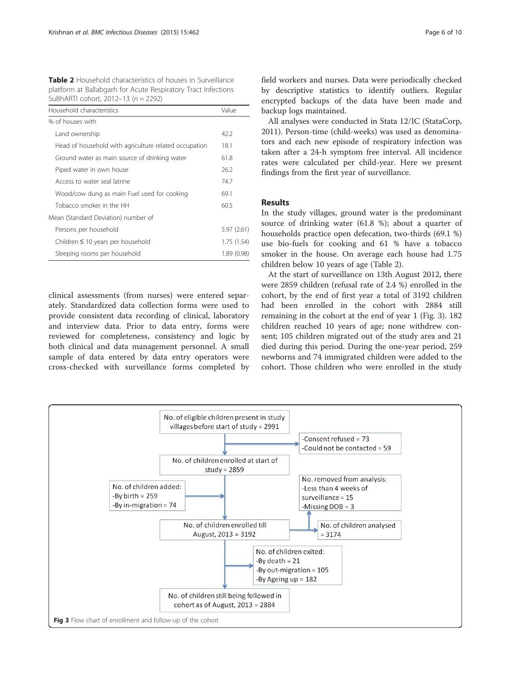Table 2 Household characteristics of houses in Surveillance platform at Ballabgarh for Acute Respiratory Tract Infections SuBhARTI cohort, 2012–13 (n = 2292)

| Household characteristics                             | Value       |  |  |  |  |  |  |
|-------------------------------------------------------|-------------|--|--|--|--|--|--|
| % of houses with                                      |             |  |  |  |  |  |  |
| Land ownership                                        | 42.2        |  |  |  |  |  |  |
| Head of household with agriculture related occupation | 18.1        |  |  |  |  |  |  |
| Ground water as main source of drinking water         | 61.8        |  |  |  |  |  |  |
| Piped water in own house                              | 26.2        |  |  |  |  |  |  |
| Access to water seal latrine                          | 74.7        |  |  |  |  |  |  |
| Wood/cow dung as main Fuel used for cooking           | 69.1        |  |  |  |  |  |  |
| Tobacco smoker in the HH                              | 60.5        |  |  |  |  |  |  |
| Mean (Standard Deviation) number of                   |             |  |  |  |  |  |  |
| Persons per household                                 | 5.97(2.61)  |  |  |  |  |  |  |
| Children $\leq$ 10 years per household                | 1.75(1.54)  |  |  |  |  |  |  |
| Sleeping rooms per household                          | 1.89 (0.98) |  |  |  |  |  |  |

clinical assessments (from nurses) were entered separately. Standardized data collection forms were used to provide consistent data recording of clinical, laboratory and interview data. Prior to data entry, forms were reviewed for completeness, consistency and logic by both clinical and data management personnel. A small sample of data entered by data entry operators were cross-checked with surveillance forms completed by

field workers and nurses. Data were periodically checked by descriptive statistics to identify outliers. Regular encrypted backups of the data have been made and backup logs maintained.

All analyses were conducted in Stata 12/IC (StataCorp, 2011). Person-time (child-weeks) was used as denominators and each new episode of respiratory infection was taken after a 24-h symptom free interval. All incidence rates were calculated per child-year. Here we present findings from the first year of surveillance.

### Results

In the study villages, ground water is the predominant source of drinking water (61.8 %); about a quarter of households practice open defecation, two-thirds (69.1 %) use bio-fuels for cooking and 61 % have a tobacco smoker in the house. On average each house had 1.75 children below 10 years of age (Table 2).

At the start of surveillance on 13th August 2012, there were 2859 children (refusal rate of 2.4 %) enrolled in the cohort, by the end of first year a total of 3192 children had been enrolled in the cohort with 2884 still remaining in the cohort at the end of year 1 (Fig. 3). 182 children reached 10 years of age; none withdrew consent; 105 children migrated out of the study area and 21 died during this period. During the one-year period, 259 newborns and 74 immigrated children were added to the cohort. Those children who were enrolled in the study

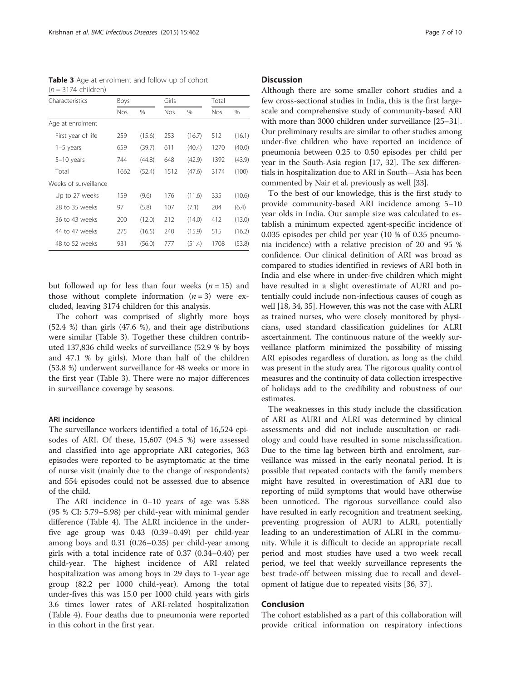Table 3 Age at enrolment and follow up of cohort  $(n = 3174 \text{ children})$ 

| Characteristics       | Boys |        | Girls         |        | Total |        |  |
|-----------------------|------|--------|---------------|--------|-------|--------|--|
|                       | Nos. | %      | Nos.          | %      | Nos.  | %      |  |
| Age at enrolment      |      |        |               |        |       |        |  |
| First year of life    | 259  | (15.6) | 253           | (16.7) | 512   | (16.1) |  |
| $1-5$ years           | 659  | (39.7) | 611           | (40.4) | 1270  | (40.0) |  |
| $5-10$ years          | 744  | (44.8) | 648<br>(42.9) |        | 1392  | (43.9) |  |
| Total                 | 1662 | (52.4) | 1512          | (47.6) | 3174  | (100)  |  |
| Weeks of surveillance |      |        |               |        |       |        |  |
| Up to 27 weeks        | 159  | (9.6)  | 176           | (11.6) | 335   | (10.6) |  |
| 28 to 35 weeks        | 97   | (5.8)  | 107           | (7.1)  | 204   | (6.4)  |  |
| 36 to 43 weeks        | 200  | (12.0) | 212           | (14.0) | 412   | (13.0) |  |
| 44 to 47 weeks        | 275  | (16.5) | 240           | (15.9) | 515   | (16.2) |  |
| 48 to 52 weeks        | 931  | (56.0) | 777           | (51.4) | 1708  | (53.8) |  |

but followed up for less than four weeks  $(n = 15)$  and those without complete information  $(n = 3)$  were excluded, leaving 3174 children for this analysis.

The cohort was comprised of slightly more boys (52.4 %) than girls (47.6 %), and their age distributions were similar (Table 3). Together these children contributed 137,836 child weeks of surveillance (52.9 % by boys and 47.1 % by girls). More than half of the children (53.8 %) underwent surveillance for 48 weeks or more in the first year (Table 3). There were no major differences in surveillance coverage by seasons.

#### ARI incidence

The surveillance workers identified a total of 16,524 episodes of ARI. Of these, 15,607 (94.5 %) were assessed and classified into age appropriate ARI categories, 363 episodes were reported to be asymptomatic at the time of nurse visit (mainly due to the change of respondents) and 554 episodes could not be assessed due to absence of the child.

The ARI incidence in 0–10 years of age was 5.88 (95 % CI: 5.79–5.98) per child-year with minimal gender difference (Table [4](#page-7-0)). The ALRI incidence in the underfive age group was 0.43 (0.39–0.49) per child-year among boys and 0.31 (0.26–0.35) per child-year among girls with a total incidence rate of 0.37 (0.34–0.40) per child-year. The highest incidence of ARI related hospitalization was among boys in 29 days to 1-year age group (82.2 per 1000 child-year). Among the total under-fives this was 15.0 per 1000 child years with girls 3.6 times lower rates of ARI-related hospitalization (Table [4\)](#page-7-0). Four deaths due to pneumonia were reported in this cohort in the first year.

#### **Discussion**

Although there are some smaller cohort studies and a few cross-sectional studies in India, this is the first largescale and comprehensive study of community-based ARI with more than 3000 children under surveillance [\[25](#page-8-0)–[31](#page-9-0)]. Our preliminary results are similar to other studies among under-five children who have reported an incidence of pneumonia between 0.25 to 0.50 episodes per child per year in the South-Asia region [[17](#page-8-0), [32\]](#page-9-0). The sex differentials in hospitalization due to ARI in South—Asia has been commented by Nair et al. previously as well [[33](#page-9-0)].

To the best of our knowledge, this is the first study to provide community-based ARI incidence among 5–10 year olds in India. Our sample size was calculated to establish a minimum expected agent-specific incidence of 0.035 episodes per child per year (10 % of 0.35 pneumonia incidence) with a relative precision of 20 and 95 % confidence. Our clinical definition of ARI was broad as compared to studies identified in reviews of ARI both in India and else where in under-five children which might have resulted in a slight overestimate of AURI and potentially could include non-infectious causes of cough as well [\[18](#page-8-0), [34](#page-9-0), [35](#page-9-0)]. However, this was not the case with ALRI as trained nurses, who were closely monitored by physicians, used standard classification guidelines for ALRI ascertainment. The continuous nature of the weekly surveillance platform minimized the possibility of missing ARI episodes regardless of duration, as long as the child was present in the study area. The rigorous quality control measures and the continuity of data collection irrespective of holidays add to the credibility and robustness of our estimates.

The weaknesses in this study include the classification of ARI as AURI and ALRI was determined by clinical assessments and did not include auscultation or radiology and could have resulted in some misclassification. Due to the time lag between birth and enrolment, surveillance was missed in the early neonatal period. It is possible that repeated contacts with the family members might have resulted in overestimation of ARI due to reporting of mild symptoms that would have otherwise been unnoticed. The rigorous surveillance could also have resulted in early recognition and treatment seeking, preventing progression of AURI to ALRI, potentially leading to an underestimation of ALRI in the community. While it is difficult to decide an appropriate recall period and most studies have used a two week recall period, we feel that weekly surveillance represents the best trade-off between missing due to recall and development of fatigue due to repeated visits [[36, 37\]](#page-9-0).

#### Conclusion

The cohort established as a part of this collaboration will provide critical information on respiratory infections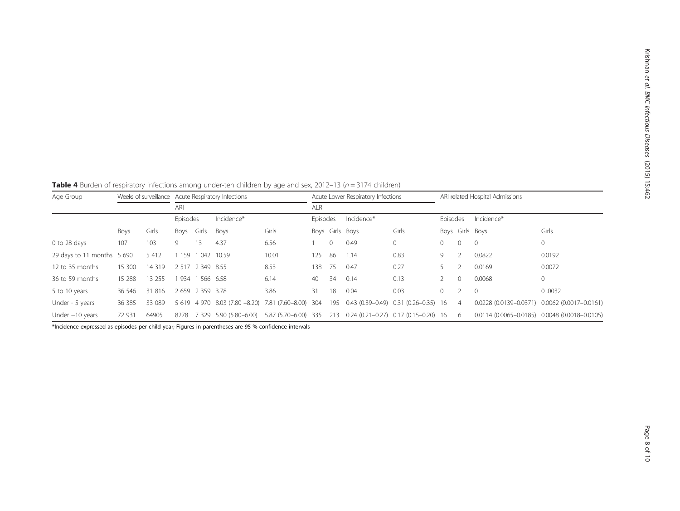<span id="page-7-0"></span>Table 4 Burden of respiratory infections among under-ten children by age and sex, 2012–13 ( $n = 3174$  children)

| Age Group                  |        |         | Weeks of surveillance Acute Respiratory Infections<br>ARI |                  |                                                     | Acute Lower Respiratory Infections |          |          | ARI related Hospital Admissions |                                          |          |                |                 |                                               |
|----------------------------|--------|---------|-----------------------------------------------------------|------------------|-----------------------------------------------------|------------------------------------|----------|----------|---------------------------------|------------------------------------------|----------|----------------|-----------------|-----------------------------------------------|
|                            |        | ALRI    |                                                           |                  |                                                     |                                    |          |          |                                 |                                          |          |                |                 |                                               |
|                            |        |         | Episodes                                                  |                  | Incidence*                                          |                                    | Episodes |          | Incidence*                      |                                          | Episodes |                | Incidence*      |                                               |
|                            | Boys   | Girls   | Boys                                                      | Girls            | Boys                                                | Girls                              |          |          | Boys Girls Boys                 | Girls                                    |          |                | Boys Girls Boys | Girls                                         |
| 0 to 28 days               | 107    | 103     | 9                                                         | 13               | 4.37                                                | 6.56                               |          | $\Omega$ | 0.49                            | $\circ$                                  | 0        | $\Omega$       | $\Omega$        | $\mathbf{0}$                                  |
| 29 days to 11 months 5 690 |        | 5 4 1 2 | 159                                                       | 1 0 4 2          | 10.59                                               | 10.01                              | 125      | 86       | 1.14                            | 0.83                                     | 9.       |                | 0.0822          | 0.0192                                        |
| 12 to 35 months            | 15 300 | 14 3 19 |                                                           | 2 517 2 349 8.55 |                                                     | 8.53                               | 138      | -75      | 0.47                            | 0.27                                     |          |                | 0.0169          | 0.0072                                        |
| 36 to 59 months            | 15 288 | 13 255  | 934                                                       |                  | 566 6.58                                            | 6.14                               | 40       | 34       | 0.14                            | 0.13                                     |          | $\Omega$       | 0.0068          | $\mathbf 0$                                   |
| 5 to 10 years              | 36 546 | 31 816  |                                                           | 2 659 2 359 3.78 |                                                     | 3.86                               | 31       | 18       | 0.04                            | 0.03                                     | 0.       |                | $\Omega$        | 0.0032                                        |
| Under - 5 years            | 36 385 | 33 089  |                                                           |                  | 5 619 4 970 8.03 (7.80 -8.20) 7.81 (7.60 -8.00) 304 |                                    |          | 195      |                                 | $0.43(0.39-0.49)$ $0.31(0.26-0.35)$ 16   |          | $\overline{4}$ |                 | 0.0228 (0.0139-0.0371) 0.0062 (0.0017-0.0161) |
| Under $-10$ years          | 72 931 | 64905   | 8278                                                      | 7 3 2 9          | 5.90 (5.80 - 6.00)                                  | 5.87 (5.70-6.00) 335               |          | 213      |                                 | $0.24$ (0.21-0.27) $0.17$ (0.15-0.20) 16 |          | -6             |                 | 0.0114 (0.0065-0.0185) 0.0048 (0.0018-0.0105) |

\*Incidence expressed as episodes per child year; Figures in parentheses are 95 % confidence intervals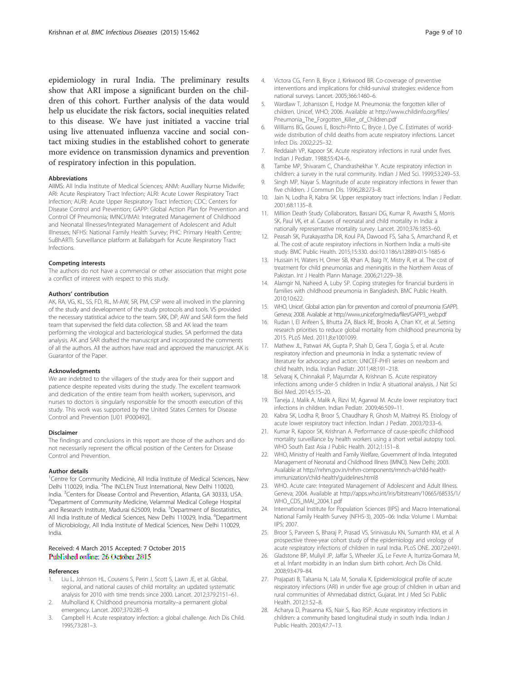<span id="page-8-0"></span>epidemiology in rural India. The preliminary results show that ARI impose a significant burden on the children of this cohort. Further analysis of the data would help us elucidate the risk factors, social inequities related to this disease. We have just initiated a vaccine trial using live attenuated influenza vaccine and social contact mixing studies in the established cohort to generate more evidence on transmission dynamics and prevention of respiratory infection in this population.

#### Abbreviations

AIIMS: All India Institute of Medical Sciences; ANM: Auxillary Nurrse Midwife; ARI: Acute Respiratory Tract Infection; ALRI: Acute Lower Respiratory Tract Infection; AURI: Acute Upper Respiratory Tract Infection; CDC: Centers for Disease Control and Prevention; GAPP: Global Action Plan for Prevention and Control Of Pneumonia; IMNCI/IMAI: Integrated Management of Childhood and Neonatal Illnesses/Integrated Management of Adolescent and Adult Illnesses; NFHS: National Family Health Survey; PHC: Primary Health Centre; SuBhARTI: Surveillance platform at Ballabgarh for Acute Respiratory Tract Infections.

#### Competing interests

The authors do not have a commercial or other association that might pose a conflict of interest with respect to this study.

#### Authors' contribution

AK, RA, VG, KL, SS, FD, RL, M-AW, SR, PM, CSP were all involved in the planning of the study and development of the study protocols and tools. VS provided the necessary statistical advice to the team. SKK, DP, AW and SAR form the field team that supervised the field data collection. SB and AK lead the team performing the virological and bacteriological studies. SA performed the data analysis. AK and SAR drafted the manuscript and incorporated the comments of all the authors. All the authors have read and approved the manuscript. AK is Guarantor of the Paper.

#### Acknowledgments

We are indebted to the villagers of the study area for their support and patience despite repeated visits during the study. The excellent teamwork and dedication of the entire team from health workers, supervisors, and nurses to doctors is singularly responsible for the smooth execution of this study. This work was supported by the United States Centers for Disease Control and Prevention [U01 IP000492].

#### Disclaimer

The findings and conclusions in this report are those of the authors and do not necessarily represent the official position of the Centers for Disease Control and Prevention.

#### Author details

<sup>1</sup> Centre for Community Medicine, All India Institute of Medical Sciences, New Delhi 110029, India. <sup>2</sup>The INCLEN Trust International, New Delhi 110020, India. <sup>3</sup>Centers for Disease Control and Prevention, Atlanta, GA 30333, USA. <sup>4</sup>Department of Community Medicine, Velammal Medical College Hospital and Research Institute, Madurai 625009, India. <sup>5</sup>Department of Biostatistics, All India Institute of Medical Sciences, New Delhi 110029, India. <sup>6</sup>Department of Microbiology, All India Institute of Medical Sciences, New Delhi 110029, India.

#### Received: 4 March 2015 Accepted: 7 October 2015 Published online: 26 October 2015

#### References

- Liu L, Johnson HL, Cousens S, Perin J, Scott S, Lawn JE, et al. Global, regional, and national causes of child mortality: an updated systematic analysis for 2010 with time trends since 2000. Lancet. 2012;379:2151–61.
- 2. Mulholland K. Childhood pneumonia mortality–a permanent global emergency. Lancet. 2007;370:285–9.
- 3. Campbell H. Acute respiratory infection: a global challenge. Arch Dis Child. 1995;73:281–3.
- 4. Victora CG, Fenn B, Bryce J, Kirkwood BR. Co-coverage of preventive interventions and implications for child-survival strategies: evidence from national surveys. Lancet. 2005;366:1460–6.
- 5. Wardlaw T, Johansson E, Hodge M. Pneumonia: the forgotten killer of children. Unicef, WHO; 2006. Available at [http://www.childinfo.org/files/](http://www.childinfo.org/files/Pneumonia_The_Forgotten_Killer_of_Children.pdf) [Pneumonia\\_The\\_Forgotten\\_Killer\\_of\\_Children.pdf](http://www.childinfo.org/files/Pneumonia_The_Forgotten_Killer_of_Children.pdf)
- 6. Williams BG, Gouws E, Boschi-Pinto C, Bryce J, Dye C. Estimates of worldwide distribution of child deaths from acute respiratory infections. Lancet Infect Dis. 2002;2:25–32.
- 7. Reddaiah VP, Kapoor SK. Acute respiratory infections in rural under fives. Indian J Pediatr. 1988;55:424–6.
- 8. Tambe MP, Shivaram C, Chandrashekhar Y. Acute respiratory infection in children: a survey in the rural community. Indian J Med Sci. 1999;53:249–53.
- 9. Singh MP, Nayar S. Magnitude of acute respiratory infections in fewer than five children. J Commun Dis. 1996;28:273–8.
- 10. Jain N, Lodha R, Kabra SK. Upper respiratory tract infections. Indian J Pediatr. 2001;68:1135–8.
- 11. Million Death Study Collaborators, Bassani DG, Kumar R, Awasthi S, Morris SK, Paul VK, et al. Causes of neonatal and child mortality in India: a nationally representative mortality survey. Lancet. 2010;376:1853–60.
- 12. Peasah SK, Purakayastha DR, Koul PA, Dawood FS, Saha S, Amarchand R, et al. The cost of acute respiratory infections in Northern India: a multi-site study. BMC Public Health. 2015;15:330. doi:[10.1186/s12889-015-1685-6](http://dx.doi.org/10.1186/s12889-015-1685-6)
- 13. Hussain H, Waters H, Omer SB, Khan A, Baig IY, Mistry R, et al. The cost of treatment for child pneumonias and meningitis in the Northern Areas of Pakistan. Int J Health Plann Manage. 2006;21:229–38.
- 14. Alamgir NI, Naheed A, Luby SP. Coping strategies for financial burdens in families with childhood pneumonia in Bangladesh. BMC Public Health. 2010;10:622.
- 15. WHO, Unicef. Global action plan for prevention and control of pneumonia (GAPP). Geneva; 2008. Available at [http://www.unicef.org/media/files/GAPP3\\_web.pdf](http://www.unicef.org/media/files/GAPP3_web.pdf)
- 16. Rudan I, El Arifeen S, Bhutta ZA, Black RE, Brooks A, Chan KY, et al. Setting research priorities to reduce global mortality from childhood pneumonia by 2015. PLoS Med. 2011;8:e1001099.
- 17. Mathew JL, Patwari AK, Gupta P, Shah D, Gera T, Gogia S, et al. Acute respiratory infection and pneumonia in India: a systematic review of literature for advocacy and action: UNICEF-PHFI series on newborn and child health, India. Indian Pediatr. 2011;48:191–218.
- 18. Selvaraj K, Chinnakali P, Majumdar A, Krishnan IS. Acute respiratory infections among under-5 children in India: A situational analysis. J Nat Sci Biol Med. 2014;5:15–20.
- 19. Taneja J, Malik A, Malik A, Rizvi M, Agarwal M. Acute lower respiratory tract infections in children. Indian Pediatr. 2009;46:509–11.
- 20. Kabra SK, Lodha R, Broor S, Chaudhary R, Ghosh M, Maitreyi RS. Etiology of acute lower respiratory tract infection. Indian J Pediatr. 2003;70:33–6.
- 21. Kumar R, Kapoor SK, Krishnan A. Performance of cause-specific childhood mortality surveillance by health workers using a short verbal autopsy tool. WHO South East Asia J Public Health. 2012;1:151–8.
- 22. WHO, Ministry of Health and Family Welfare, Government of India. Integrated Management of Neonatal and Childhood Illness (IMNCI). New Delhi; 2003. Available at [http://nrhm.gov.in/nrhm-components/rmnch-a/child-health](http://nrhm.gov.in/nrhm-components/rmnch-a/child-health-immunization/child-health/guidelines.html)[immunization/child-health/guidelines.html8](http://nrhm.gov.in/nrhm-components/rmnch-a/child-health-immunization/child-health/guidelines.html)
- 23. WHO. Acute care: Integrated Management of Adolescent and Adult Illness. Geneva; 2004. Available at [http://apps.who.int/iris/bitstream/10665/68535/1/](http://apps.who.int/iris/bitstream/10665/68535/1/WHO_CDS_IMAI_2004.1.pdf) [WHO\\_CDS\\_IMAI\\_2004.1.pdf](http://apps.who.int/iris/bitstream/10665/68535/1/WHO_CDS_IMAI_2004.1.pdf)
- 24. International Institute for Population Sciences (IIPS) and Macro International. National Family Health Survey (NFHS-3), 2005–06: India: Volume I. Mumbai: IIPS; 2007.
- 25. Broor S, Parveen S, Bharaj P, Prasad VS, Srinivasulu KN, Sumanth KM, et al. A prospective three-year cohort study of the epidemiology and virology of acute respiratory infections of children in rural India. PLoS ONE. 2007;2:e491.
- 26. Gladstone BP, Muliyil JP, Jaffar S, Wheeler JG, Le Fevre A, Iturriza-Gomara M, et al. Infant morbidity in an Indian slum birth cohort. Arch Dis Child. 2008;93:479–84.
- 27. Prajapati B, Talsania N, Lala M, Sonalia K. Epidemiological profile of acute respiratory infections (ARI) in under five age group of children in urban and rural communities of Ahmedabad district, Gujarat. Int J Med Sci Public Health. 2012;1:52–8.
- 28. Acharya D, Prasanna KS, Nair S, Rao RSP. Acute respiratory infections in children: a community based longitudinal study in south India. Indian J Public Health. 2003;47:7–13.